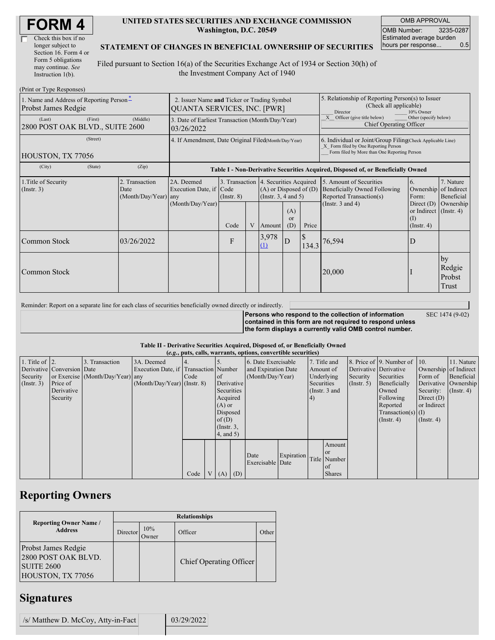| Check this box if no  |
|-----------------------|
| longer subject to     |
| Section 16. Form 4 or |
| Form 5 obligations    |
| may continue. See     |
| Instruction $1(b)$ .  |

#### **UNITED STATES SECURITIES AND EXCHANGE COMMISSION Washington, D.C. 20549**

OMB APPROVAL OMB Number: 3235-0287 Estimated average burden hours per response... 0.5

#### **STATEMENT OF CHANGES IN BENEFICIAL OWNERSHIP OF SECURITIES**

Filed pursuant to Section 16(a) of the Securities Exchange Act of 1934 or Section 30(h) of the Investment Company Act of 1940

| (Print or Type Responses)                                       |                                                                                   |            |                                                                                  |                 |   |                                                                                                 |                                                                                                                                                    |       |                                                                                                             |                                                      |                                      |
|-----------------------------------------------------------------|-----------------------------------------------------------------------------------|------------|----------------------------------------------------------------------------------|-----------------|---|-------------------------------------------------------------------------------------------------|----------------------------------------------------------------------------------------------------------------------------------------------------|-------|-------------------------------------------------------------------------------------------------------------|------------------------------------------------------|--------------------------------------|
| 1. Name and Address of Reporting Person-<br>Probst James Redgie | 2. Issuer Name and Ticker or Trading Symbol<br><b>QUANTA SERVICES, INC. [PWR]</b> |            |                                                                                  |                 |   |                                                                                                 | 5. Relationship of Reporting Person(s) to Issuer<br>(Check all applicable)<br>Director<br>10% Owner                                                |       |                                                                                                             |                                                      |                                      |
| (Last)<br>2800 POST OAK BLVD., SUITE 2600                       | 3. Date of Earliest Transaction (Month/Day/Year)<br>03/26/2022                    |            |                                                                                  |                 |   |                                                                                                 | Other (specify below)<br>Officer (give title below)<br>Chief Operating Officer                                                                     |       |                                                                                                             |                                                      |                                      |
| HOUSTON, TX 77056                                               | 4. If Amendment, Date Original Filed(Month/Day/Year)                              |            |                                                                                  |                 |   |                                                                                                 | 6. Individual or Joint/Group Filing Check Applicable Line)<br>X Form filed by One Reporting Person<br>Form filed by More than One Reporting Person |       |                                                                                                             |                                                      |                                      |
| (City)                                                          | (State)                                                                           | (Zip)      | Table I - Non-Derivative Securities Acquired, Disposed of, or Beneficially Owned |                 |   |                                                                                                 |                                                                                                                                                    |       |                                                                                                             |                                                      |                                      |
| 1. Title of Security<br>(Insert. 3)                             | 2. Transaction<br>Date<br>(Month/Day/Year) any                                    |            | 2A. Deemed<br>Execution Date, if Code<br>(Month/Day/Year)                        | $($ Instr. $8)$ |   | 3. Transaction 4. Securities Acquired<br>$(A)$ or Disposed of $(D)$<br>(Instr. $3, 4$ and $5$ ) |                                                                                                                                                    |       | 5. Amount of Securities<br>Beneficially Owned Following<br>Reported Transaction(s)<br>(Instr. $3$ and $4$ ) | 6.<br>Ownership of Indirect<br>Form:<br>Direct $(D)$ | 7. Nature<br>Beneficial<br>Ownership |
|                                                                 |                                                                                   |            |                                                                                  | Code            | V | Amount                                                                                          | (A)<br>$\alpha$<br>(D)                                                                                                                             | Price |                                                                                                             | or Indirect (Instr. 4)<br>$($ I<br>$($ Instr. 4 $)$  |                                      |
| Common Stock                                                    |                                                                                   | 03/26/2022 |                                                                                  | F               |   | 3,978<br>(1)                                                                                    | D                                                                                                                                                  | 134.3 | 76,594                                                                                                      | D                                                    |                                      |
| Common Stock                                                    |                                                                                   |            |                                                                                  |                 |   |                                                                                                 |                                                                                                                                                    |       | 20,000                                                                                                      |                                                      | by<br>Redgie<br>Probst<br>Trust      |

Reminder: Report on a separate line for each class of securities beneficially owned directly or indirectly.

SEC 1474 (9-02)

**Persons who respond to the collection of information contained in this form are not required to respond unless the form displays a currently valid OMB control number.**

#### **Table II - Derivative Securities Acquired, Disposed of, or Beneficially Owned**

| (e.g., puts, calls, warrants, options, convertible securities) |                            |                                  |                                       |      |                 |                 |                     |                     |            |              |                       |             |                              |                  |                      |
|----------------------------------------------------------------|----------------------------|----------------------------------|---------------------------------------|------|-----------------|-----------------|---------------------|---------------------|------------|--------------|-----------------------|-------------|------------------------------|------------------|----------------------|
| 1. Title of $\vert$ 2.                                         |                            | 3. Transaction                   | 3A. Deemed                            |      |                 |                 |                     | 6. Date Exercisable |            | 7. Title and |                       |             | 8. Price of 9. Number of 10. |                  | 11. Nature           |
|                                                                | Derivative Conversion Date |                                  | Execution Date, if Transaction Number |      |                 |                 | and Expiration Date |                     |            | Amount of    | Derivative Derivative |             | Ownership of Indirect        |                  |                      |
| Security                                                       |                            | or Exercise (Month/Day/Year) any |                                       | Code |                 | $\circ$ f       |                     | (Month/Day/Year)    |            | Underlying   |                       | Security    | Securities                   | Form of          | Beneficial           |
| $($ Instr. 3 $)$                                               | Price of                   |                                  | $(Month/Day/Year)$ (Instr. 8)         |      |                 | Derivative      |                     |                     |            | Securities   |                       | (Insert. 5) | Beneficially                 |                  | Derivative Ownership |
|                                                                | Derivative                 |                                  |                                       |      |                 | Securities      |                     |                     |            |              | (Instr. 3 and         |             | Owned                        | Security:        | $($ Instr. 4 $)$     |
|                                                                | Security                   |                                  |                                       |      |                 | Acquired        |                     |                     |            | $\vert 4)$   |                       |             | Following                    | Direct $(D)$     |                      |
|                                                                |                            |                                  |                                       |      |                 | $(A)$ or        |                     |                     |            |              |                       |             | Reported                     | or Indirect      |                      |
|                                                                |                            |                                  |                                       |      |                 |                 | Disposed            |                     |            |              |                       |             | $Transaction(s)$ (I)         |                  |                      |
|                                                                |                            |                                  |                                       |      |                 | of $(D)$        |                     |                     |            |              |                       |             | $($ Instr. 4 $)$             | $($ Instr. 4 $)$ |                      |
|                                                                |                            |                                  |                                       |      |                 | $($ Instr. $3,$ |                     |                     |            |              |                       |             |                              |                  |                      |
|                                                                |                            |                                  |                                       |      |                 | 4, and 5)       |                     |                     |            |              |                       |             |                              |                  |                      |
|                                                                |                            |                                  |                                       |      |                 |                 |                     |                     |            |              | Amount                |             |                              |                  |                      |
|                                                                |                            |                                  |                                       |      |                 |                 |                     | Date                |            |              | <b>or</b>             |             |                              |                  |                      |
|                                                                |                            |                                  |                                       |      |                 |                 |                     | Exercisable Date    | Expiration |              | Title Number          |             |                              |                  |                      |
|                                                                |                            |                                  |                                       |      |                 |                 |                     |                     |            |              | of                    |             |                              |                  |                      |
|                                                                |                            |                                  |                                       | Code | $V_{\parallel}$ | $(A)$ $(D)$     |                     |                     |            |              | <b>Shares</b>         |             |                              |                  |                      |

# **Reporting Owners**

|                                                                                             | <b>Relationships</b> |              |                         |       |  |  |  |  |  |  |
|---------------------------------------------------------------------------------------------|----------------------|--------------|-------------------------|-------|--|--|--|--|--|--|
| <b>Reporting Owner Name /</b><br><b>Address</b>                                             | Director             | 10%<br>Owner | Officer                 | Other |  |  |  |  |  |  |
| <b>Probst James Redgie</b><br>2800 POST OAK BLVD.<br><b>SUITE 2600</b><br>HOUSTON, TX 77056 |                      |              | Chief Operating Officer |       |  |  |  |  |  |  |

# **Signatures**

| /s/ Matthew D. McCoy, Atty-in-Fact | 03/29/2022 |
|------------------------------------|------------|
|                                    |            |